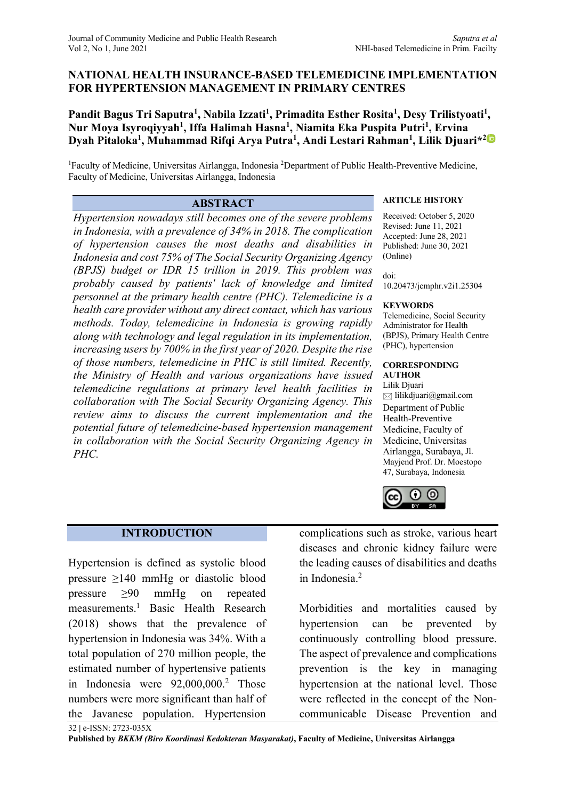# **NATIONAL HEALTH INSURANCE-BASED TELEMEDICINE IMPLEMENTATION FOR HYPERTENSION MANAGEMENT IN PRIMARY CENTRES**

Pandit Bagus Tri Saputra<sup>1</sup>, Nabila Izzati<sup>1</sup>, Primadita Esther Rosita<sup>1</sup>, Desy Trilistyoati<sup>1</sup>, **Nur Moya Isyroqiyyah1 , Iffa Halimah Hasna1 , Niamita Eka Puspita Putri1 , Ervina Dyah Pitaloka1 , Muhammad Rifqi Arya Putra1 , Andi Lestari Rahman1 , Lilik Djuari\*2**

<sup>1</sup> Faculty of Medicine, Universitas Airlangga, Indonesia <sup>2</sup> Department of Public Health-Preventive Medicine, Faculty of Medicine, Universitas Airlangga, Indonesia

*Hypertension nowadays still becomes one of the severe problems in Indonesia, with a prevalence of 34% in 2018. The complication of hypertension causes the most deaths and disabilities in Indonesia and cost 75% of The Social Security Organizing Agency (BPJS) budget or IDR 15 trillion in 2019. This problem was probably caused by patients' lack of knowledge and limited personnel at the primary health centre (PHC). Telemedicine is a health care provider without any direct contact, which has various methods. Today, telemedicine in Indonesia is growing rapidly along with technology and legal regulation in its implementation, increasing users by 700% in the first year of 2020. Despite the rise of those numbers, telemedicine in PHC is still limited. Recently, the Ministry of Health and various organizations have issued telemedicine regulations at primary level health facilities in collaboration with The Social Security Organizing Agency. This review aims to discuss the current implementation and the potential future of telemedicine-based hypertension management in collaboration with the Social Security Organizing Agency in PHC.*

# **ABSTRACT ARTICLE HISTORY**

Received: October 5, 2020 Revised: June 11, 2021 Accepted: June 28, 2021 Published: June 30, 2021 (Online)

doi: 10.20473/jcmphr.v2i1.25304

### **KEYWORDS**

Telemedicine, Social Security Administrator for Health (BPJS), Primary Health Centre (PHC), hypertension

## **CORRESPONDING**

**AUTHOR** Lilik Djuari  $\boxtimes$  lilikdjuari@gmail.com Department of Public Health-Preventive Medicine, Faculty of Medicine, Universitas Airlangga, Surabaya, Jl. Mayjend Prof. Dr. Moestopo 47, Surabaya, Indonesia



# **INTRODUCTION**

Hypertension is defined as systolic blood pressure ≥140 mmHg or diastolic blood pressure ≥90 mmHg on repeated measurements. <sup>1</sup> Basic Health Research (2018) shows that the prevalence of hypertension in Indonesia was 34%. With a total population of 270 million people, the estimated number of hypertensive patients in Indonesia were 92,000,000. <sup>2</sup> Those numbers were more significant than half of the Javanese population. Hypertension

32 **|** e-ISSN: 2723-035X

complications such as stroke, various heart diseases and chronic kidney failure were the leading causes of disabilities and deaths in Indonesia. 2

Morbidities and mortalities caused by hypertension can be prevented by continuously controlling blood pressure. The aspect of prevalence and complications prevention is the key in managing hypertension at the national level. Those were reflected in the concept of the Noncommunicable Disease Prevention and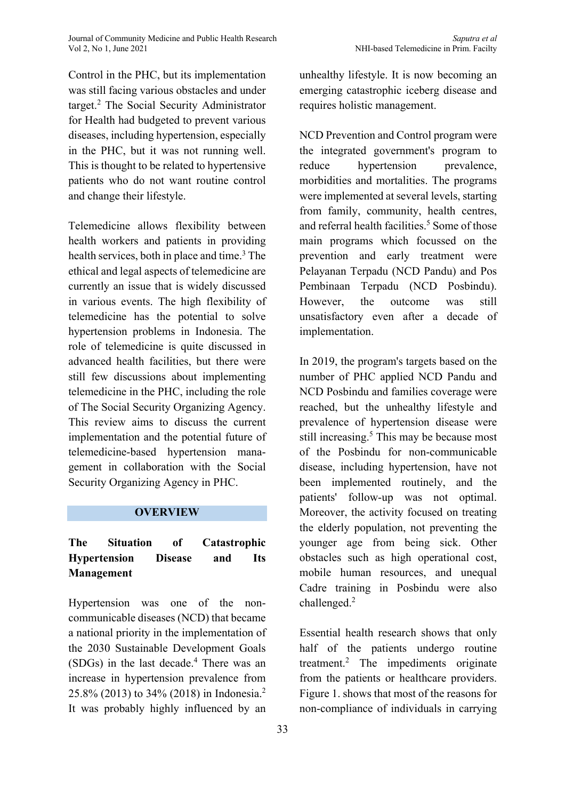Journal of Community Medicine and Public Health Research *Saputra et al*

Control in the PHC, but its implementation was still facing various obstacles and under target. <sup>2</sup> The Social Security Administrator for Health had budgeted to prevent various diseases, including hypertension, especially in the PHC, but it was not running well. This is thought to be related to hypertensive patients who do not want routine control and change their lifestyle.

Telemedicine allows flexibility between health workers and patients in providing health services, both in place and time. <sup>3</sup> The ethical and legal aspects of telemedicine are currently an issue that is widely discussed in various events. The high flexibility of telemedicine has the potential to solve hypertension problems in Indonesia. The role of telemedicine is quite discussed in advanced health facilities, but there were still few discussions about implementing telemedicine in the PHC, including the role of The Social Security Organizing Agency. This review aims to discuss the current implementation and the potential future of telemedicine-based hypertension management in collaboration with the Social Security Organizing Agency in PHC.

## **OVERVIEW**

# **The Situation of Catastrophic Hypertension Disease and Its Management**

Hypertension was one of the noncommunicable diseases (NCD) that became a national priority in the implementation of the 2030 Sustainable Development Goals (SDGs) in the last decade. <sup>4</sup> There was an increase in hypertension prevalence from 25.8% (2013) to 34% (2018) in Indonesia. 2 It was probably highly influenced by an

unhealthy lifestyle. It is now becoming an emerging catastrophic iceberg disease and requires holistic management.

NCD Prevention and Control program were the integrated government's program to reduce hypertension prevalence, morbidities and mortalities. The programs were implemented at several levels, starting from family, community, health centres, and referral health facilities. <sup>5</sup> Some of those main programs which focussed on the prevention and early treatment were Pelayanan Terpadu (NCD Pandu) and Pos Pembinaan Terpadu (NCD Posbindu). However, the outcome was still unsatisfactory even after a decade of implementation.

In 2019, the program's targets based on the number of PHC applied NCD Pandu and NCD Posbindu and families coverage were reached, but the unhealthy lifestyle and prevalence of hypertension disease were still increasing. <sup>5</sup> This may be because most of the Posbindu for non-communicable disease, including hypertension, have not been implemented routinely, and the patients' follow-up was not optimal. Moreover, the activity focused on treating the elderly population, not preventing the younger age from being sick. Other obstacles such as high operational cost, mobile human resources, and unequal Cadre training in Posbindu were also challenged. 2

Essential health research shows that only half of the patients undergo routine treatment. <sup>2</sup> The impediments originate from the patients or healthcare providers. Figure 1. shows that most of the reasons for non-compliance of individuals in carrying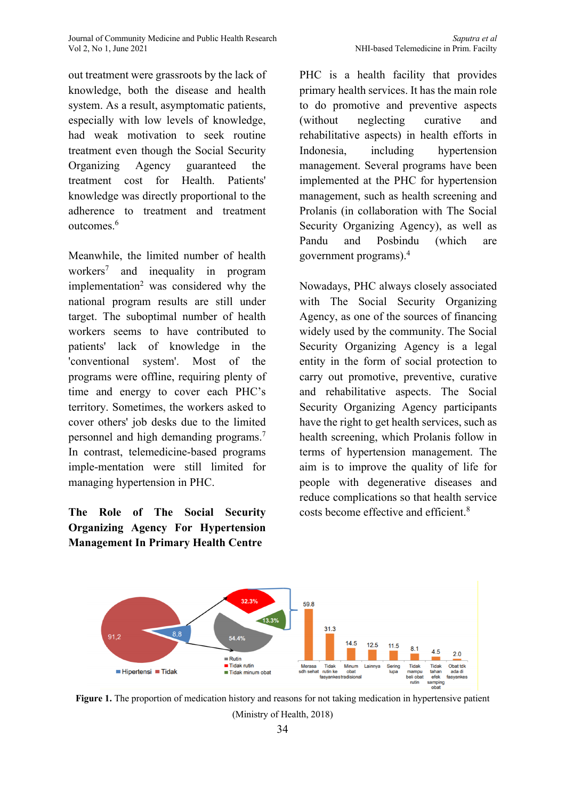Journal of Community Medicine and Public Health Research *Saputra et al*

out treatment were grassroots by the lack of knowledge, both the disease and health system. As a result, asymptomatic patients, especially with low levels of knowledge, had weak motivation to seek routine treatment even though the Social Security Organizing Agency guaranteed the treatment cost for Health. Patients' knowledge was directly proportional to the adherence to treatment and treatment outcomes. 6

Meanwhile, the limited number of health workers7 and inequality in program implementation<sup>2</sup> was considered why the national program results are still under target. The suboptimal number of health workers seems to have contributed to patients' lack of knowledge in the 'conventional system'. Most of the programs were offline, requiring plenty of time and energy to cover each PHC's territory. Sometimes, the workers asked to cover others' job desks due to the limited personnel and high demanding programs. 7 In contrast, telemedicine-based programs imple-mentation were still limited for managing hypertension in PHC.

**The Role of The Social Security Organizing Agency For Hypertension Management In Primary Health Centre**

PHC is a health facility that provides primary health services. It has the main role to do promotive and preventive aspects (without neglecting curative and rehabilitative aspects) in health efforts in Indonesia, including hypertension management. Several programs have been implemented at the PHC for hypertension management, such as health screening and Prolanis (in collaboration with The Social Security Organizing Agency), as well as Pandu and Posbindu (which are government programs). 4

Nowadays, PHC always closely associated with The Social Security Organizing Agency, as one of the sources of financing widely used by the community. The Social Security Organizing Agency is a legal entity in the form of social protection to carry out promotive, preventive, curative and rehabilitative aspects. The Social Security Organizing Agency participants have the right to get health services, such as health screening, which Prolanis follow in terms of hypertension management. The aim is to improve the quality of life for people with degenerative diseases and reduce complications so that health service costs become effective and efficient. 8



**Figure 1.** The proportion of medication history and reasons for not taking medication in hypertensive patient (Ministry of Health, 2018)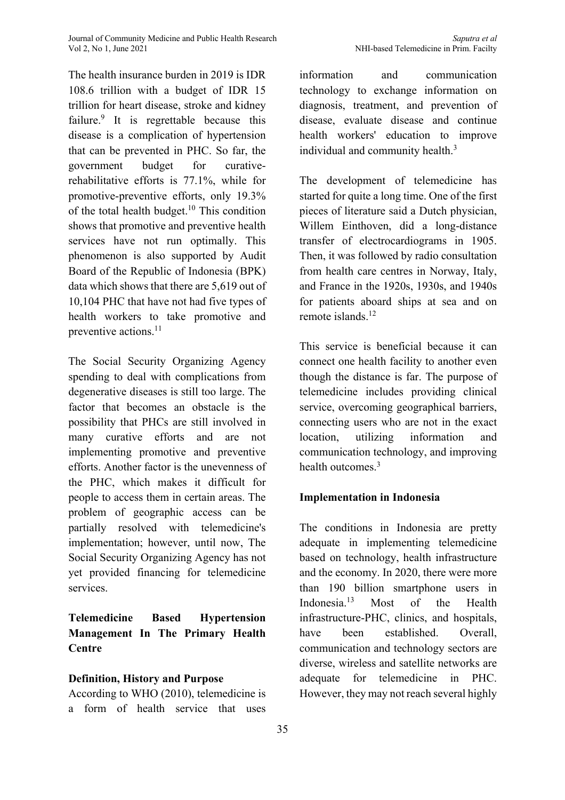The health insurance burden in 2019 is IDR 108.6 trillion with a budget of IDR 15 trillion for heart disease, stroke and kidney failure.<sup>9</sup> It is regrettable because this disease is a complication of hypertension that can be prevented in PHC. So far, the government budget for curativerehabilitative efforts is 77.1%, while for promotive-preventive efforts, only 19.3% of the total health budget. <sup>10</sup> This condition shows that promotive and preventive health services have not run optimally. This phenomenon is also supported by Audit Board of the Republic of Indonesia (BPK) data which shows that there are 5,619 out of 10,104 PHC that have not had five types of health workers to take promotive and preventive actions. 11

The Social Security Organizing Agency spending to deal with complications from degenerative diseases is still too large. The factor that becomes an obstacle is the possibility that PHCs are still involved in many curative efforts and are not implementing promotive and preventive efforts. Another factor is the unevenness of the PHC, which makes it difficult for people to access them in certain areas. The problem of geographic access can be partially resolved with telemedicine's implementation; however, until now, The Social Security Organizing Agency has not yet provided financing for telemedicine services.

**Telemedicine Based Hypertension Management In The Primary Health Centre**

# **Definition, History and Purpose**

According to WHO (2010), telemedicine is a form of health service that uses information and communication technology to exchange information on diagnosis, treatment, and prevention of disease, evaluate disease and continue health workers' education to improve individual and community health.<sup>3</sup>

The development of telemedicine has started for quite a long time. One of the first pieces of literature said a Dutch physician, Willem Einthoven, did a long-distance transfer of electrocardiograms in 1905. Then, it was followed by radio consultation from health care centres in Norway, Italy, and France in the 1920s, 1930s, and 1940s for patients aboard ships at sea and on remote islands. 12

This service is beneficial because it can connect one health facility to another even though the distance is far. The purpose of telemedicine includes providing clinical service, overcoming geographical barriers, connecting users who are not in the exact location, utilizing information and communication technology, and improving health outcomes.<sup>3</sup>

# **Implementation in Indonesia**

The conditions in Indonesia are pretty adequate in implementing telemedicine based on technology, health infrastructure and the economy. In 2020, there were more than 190 billion smartphone users in Indonesia. Most of the Health infrastructure-PHC, clinics, and hospitals, have been established. Overall, communication and technology sectors are diverse, wireless and satellite networks are adequate for telemedicine in PHC. However, they may not reach several highly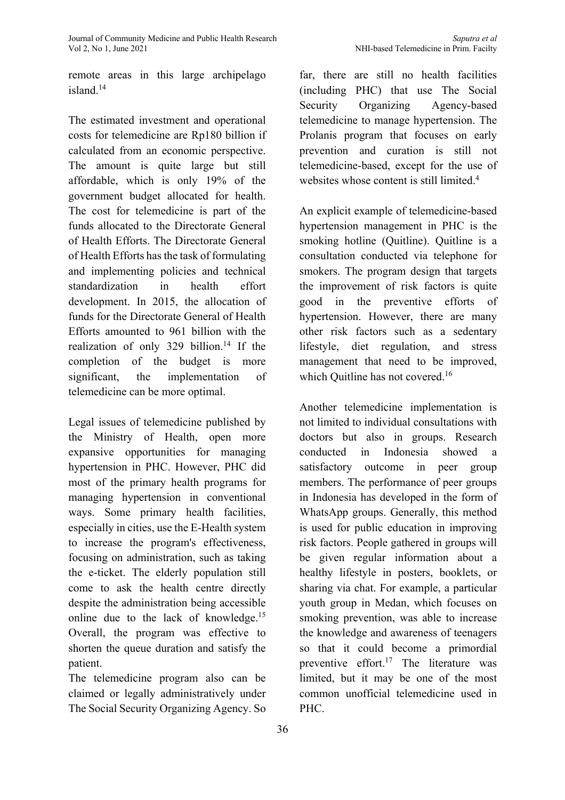remote areas in this large archipelago island. 14

The estimated investment and operational costs for telemedicine are Rp180 billion if calculated from an economic perspective. The amount is quite large but still affordable, which is only 19% of the government budget allocated for health. The cost for telemedicine is part of the funds allocated to the Directorate General of Health Efforts. The Directorate General of Health Efforts has the task of formulating and implementing policies and technical standardization in health effort development. In 2015, the allocation of funds for the Directorate General of Health Efforts amounted to 961 billion with the realization of only 329 billion. <sup>14</sup> If the completion of the budget is more significant, the implementation of telemedicine can be more optimal.

Legal issues of telemedicine published by the Ministry of Health, open more expansive opportunities for managing hypertension in PHC. However, PHC did most of the primary health programs for managing hypertension in conventional ways. Some primary health facilities, especially in cities, use the E-Health system to increase the program's effectiveness, focusing on administration, such as taking the e-ticket. The elderly population still come to ask the health centre directly despite the administration being accessible online due to the lack of knowledge.<sup>15</sup> Overall, the program was effective to shorten the queue duration and satisfy the patient.

The telemedicine program also can be claimed or legally administratively under The Social Security Organizing Agency. So far, there are still no health facilities (including PHC) that use The Social Security Organizing Agency-based telemedicine to manage hypertension. The Prolanis program that focuses on early prevention and curation is still not telemedicine-based, except for the use of websites whose content is still limited.<sup>4</sup>

An explicit example of telemedicine-based hypertension management in PHC is the smoking hotline (Quitline). Quitline is a consultation conducted via telephone for smokers. The program design that targets the improvement of risk factors is quite good in the preventive efforts of hypertension. However, there are many other risk factors such as a sedentary lifestyle, diet regulation, and stress management that need to be improved, which Quitline has not covered.<sup>16</sup>

Another telemedicine implementation is not limited to individual consultations with doctors but also in groups. Research conducted in Indonesia showed a satisfactory outcome in peer group members. The performance of peer groups in Indonesia has developed in the form of WhatsApp groups. Generally, this method is used for public education in improving risk factors. People gathered in groups will be given regular information about a healthy lifestyle in posters, booklets, or sharing via chat. For example, a particular youth group in Medan, which focuses on smoking prevention, was able to increase the knowledge and awareness of teenagers so that it could become a primordial preventive effort. <sup>17</sup> The literature was limited, but it may be one of the most common unofficial telemedicine used in PHC.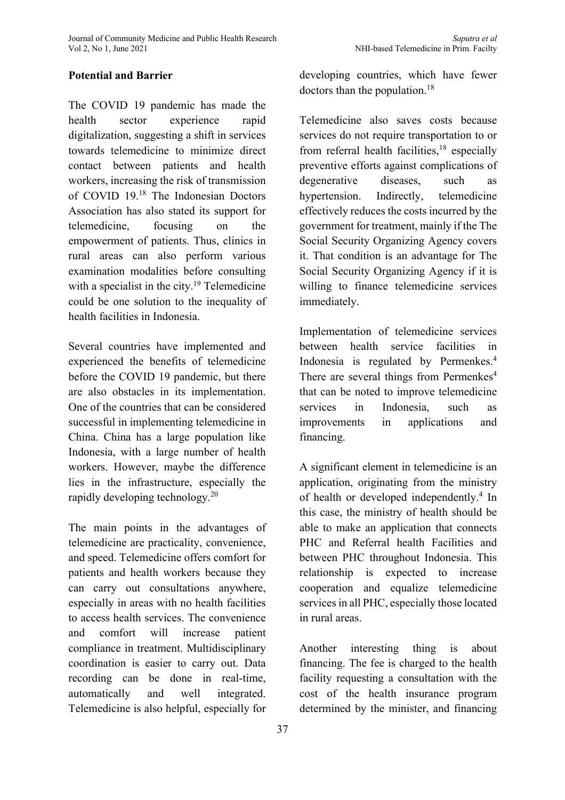# **Potential and Barrier**

The COVID 19 pandemic has made the health sector experience rapid digitalization, suggesting a shift in services towards telemedicine to minimize direct contact between patients and health workers, increasing the risk of transmission of COVID 19. <sup>18</sup> The Indonesian Doctors Association has also stated its support for telemedicine, focusing on the empowerment of patients. Thus, clinics in rural areas can also perform various examination modalities before consulting with a specialist in the city.<sup>19</sup> Telemedicine could be one solution to the inequality of health facilities in Indonesia.

Several countries have implemented and experienced the benefits of telemedicine before the COVID 19 pandemic, but there are also obstacles in its implementation. One of the countries that can be considered successful in implementing telemedicine in China. China has a large population like Indonesia, with a large number of health workers. However, maybe the difference lies in the infrastructure, especially the rapidly developing technology.<sup>20</sup>

The main points in the advantages of telemedicine are practicality, convenience, and speed. Telemedicine offers comfort for patients and health workers because they can carry out consultations anywhere, especially in areas with no health facilities to access health services. The convenience and comfort will increase patient compliance in treatment. Multidisciplinary coordination is easier to carry out. Data recording can be done in real-time, automatically and well integrated. Telemedicine is also helpful, especially for

developing countries, which have fewer doctors than the population.<sup>18</sup>

Telemedicine also saves costs because services do not require transportation to or from referral health facilities,<sup>18</sup> especially preventive efforts against complications of degenerative diseases, such as hypertension. Indirectly, telemedicine effectively reduces the costs incurred by the government for treatment, mainly if the The Social Security Organizing Agency covers it. That condition is an advantage for The Social Security Organizing Agency if it is willing to finance telemedicine services immediately.

Implementation of telemedicine services between health service facilities in Indonesia is regulated by Permenkes. 4 There are several things from Permenkes<sup>4</sup> that can be noted to improve telemedicine services in Indonesia, such as improvements in applications and financing.

A significant element in telemedicine is an application, originating from the ministry of health or developed independently. <sup>4</sup> In this case, the ministry of health should be able to make an application that connects PHC and Referral health Facilities and between PHC throughout Indonesia. This relationship is expected to increase cooperation and equalize telemedicine services in all PHC, especially those located in rural areas.

Another interesting thing is about financing. The fee is charged to the health facility requesting a consultation with the cost of the health insurance program determined by the minister, and financing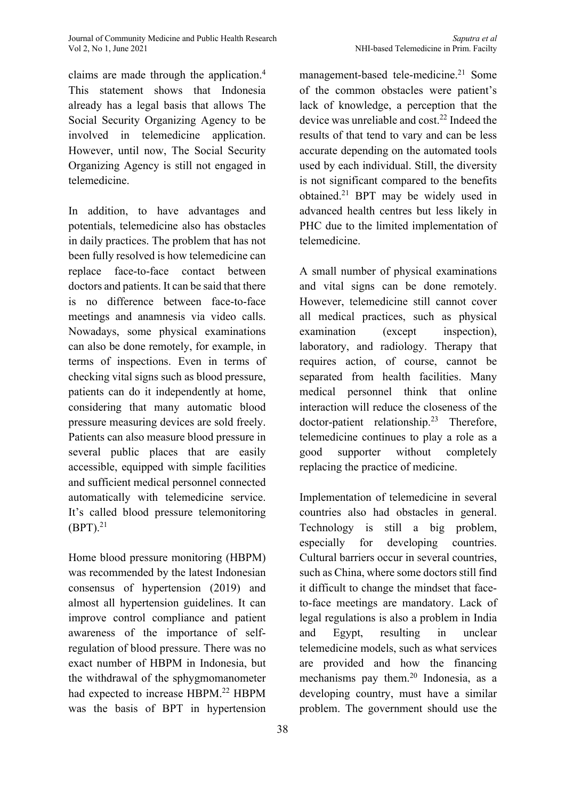claims are made through the application. 4 This statement shows that Indonesia already has a legal basis that allows The Social Security Organizing Agency to be involved in telemedicine application. However, until now, The Social Security Organizing Agency is still not engaged in telemedicine.

In addition, to have advantages and potentials, telemedicine also has obstacles in daily practices. The problem that has not been fully resolved is how telemedicine can replace face-to-face contact between doctors and patients. It can be said that there is no difference between face-to-face meetings and anamnesis via video calls. Nowadays, some physical examinations can also be done remotely, for example, in terms of inspections. Even in terms of checking vital signs such as blood pressure, patients can do it independently at home, considering that many automatic blood pressure measuring devices are sold freely. Patients can also measure blood pressure in several public places that are easily accessible, equipped with simple facilities and sufficient medical personnel connected automatically with telemedicine service. It's called blood pressure telemonitoring  $(BPT).^{21}$ 

Home blood pressure monitoring (HBPM) was recommended by the latest Indonesian consensus of hypertension (2019) and almost all hypertension guidelines. It can improve control compliance and patient awareness of the importance of selfregulation of blood pressure. There was no exact number of HBPM in Indonesia, but the withdrawal of the sphygmomanometer had expected to increase HBPM.<sup>22</sup> HBPM was the basis of BPT in hypertension

management-based tele-medicine. <sup>21</sup> Some of the common obstacles were patient's lack of knowledge, a perception that the device was unreliable and cost. <sup>22</sup> Indeed the results of that tend to vary and can be less accurate depending on the automated tools used by each individual. Still, the diversity is not significant compared to the benefits obtained. <sup>21</sup> BPT may be widely used in advanced health centres but less likely in PHC due to the limited implementation of telemedicine.

A small number of physical examinations and vital signs can be done remotely. However, telemedicine still cannot cover all medical practices, such as physical examination (except inspection), laboratory, and radiology. Therapy that requires action, of course, cannot be separated from health facilities. Many medical personnel think that online interaction will reduce the closeness of the doctor-patient relationship. <sup>23</sup> Therefore, telemedicine continues to play a role as a good supporter without completely replacing the practice of medicine.

Implementation of telemedicine in several countries also had obstacles in general. Technology is still a big problem, especially for developing countries. Cultural barriers occur in several countries, such as China, where some doctors still find it difficult to change the mindset that faceto-face meetings are mandatory. Lack of legal regulations is also a problem in India and Egypt, resulting in unclear telemedicine models, such as what services are provided and how the financing mechanisms pay them. <sup>20</sup> Indonesia, as a developing country, must have a similar problem. The government should use the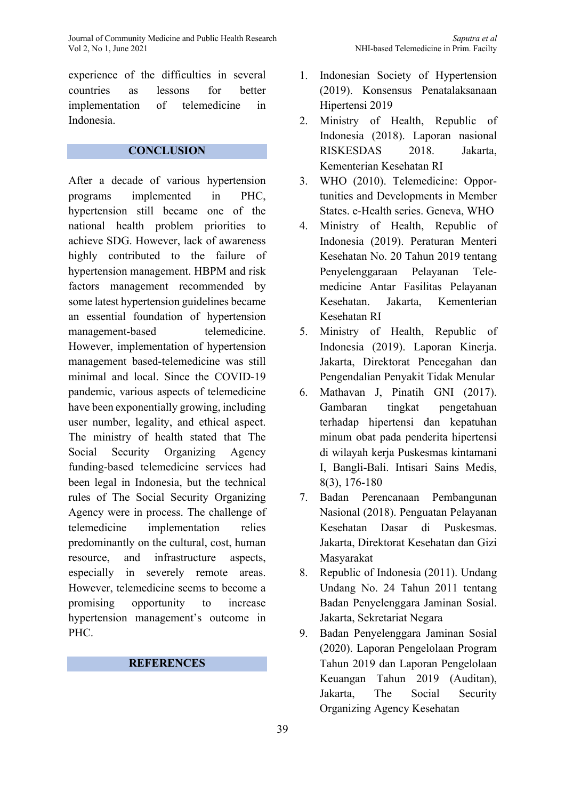experience of the difficulties in several countries as lessons for better implementation of telemedicine in Indonesia.

# **CONCLUSION**

After a decade of various hypertension programs implemented in PHC, hypertension still became one of the national health problem priorities to achieve SDG. However, lack of awareness highly contributed to the failure of hypertension management. HBPM and risk factors management recommended by some latest hypertension guidelines became an essential foundation of hypertension management-based telemedicine. However, implementation of hypertension management based-telemedicine was still minimal and local. Since the COVID-19 pandemic, various aspects of telemedicine have been exponentially growing, including user number, legality, and ethical aspect. The ministry of health stated that The Social Security Organizing Agency funding-based telemedicine services had been legal in Indonesia, but the technical rules of The Social Security Organizing Agency were in process. The challenge of telemedicine implementation relies predominantly on the cultural, cost, human resource, and infrastructure aspects, especially in severely remote areas. However, telemedicine seems to become a promising opportunity to increase hypertension management's outcome in PHC.

# **REFERENCES**

- 1. Indonesian Society of Hypertension (2019). Konsensus Penatalaksanaan Hipertensi 2019
- 2. Ministry of Health, Republic of Indonesia (2018). Laporan nasional RISKESDAS 2018. Jakarta, Kementerian Kesehatan RI
- 3. WHO (2010). Telemedicine: Opportunities and Developments in Member States. e-Health series. Geneva, WHO
- 4. Ministry of Health, Republic of Indonesia (2019). Peraturan Menteri Kesehatan No. 20 Tahun 2019 tentang Penyelenggaraan Pelayanan Telemedicine Antar Fasilitas Pelayanan Kesehatan. Jakarta, Kementerian Kesehatan RI
- 5. Ministry of Health, Republic of Indonesia (2019). Laporan Kinerja. Jakarta, Direktorat Pencegahan dan Pengendalian Penyakit Tidak Menular
- 6. Mathavan J, Pinatih GNI (2017). Gambaran tingkat pengetahuan terhadap hipertensi dan kepatuhan minum obat pada penderita hipertensi di wilayah kerja Puskesmas kintamani I, Bangli-Bali. Intisari Sains Medis, 8(3), 176-180
- 7. Badan Perencanaan Pembangunan Nasional (2018). Penguatan Pelayanan Kesehatan Dasar di Puskesmas. Jakarta, Direktorat Kesehatan dan Gizi Masyarakat
- 8. Republic of Indonesia (2011). Undang Undang No. 24 Tahun 2011 tentang Badan Penyelenggara Jaminan Sosial. Jakarta, Sekretariat Negara
- 9. Badan Penyelenggara Jaminan Sosial (2020). Laporan Pengelolaan Program Tahun 2019 dan Laporan Pengelolaan Keuangan Tahun 2019 (Auditan), Jakarta, The Social Security Organizing Agency Kesehatan